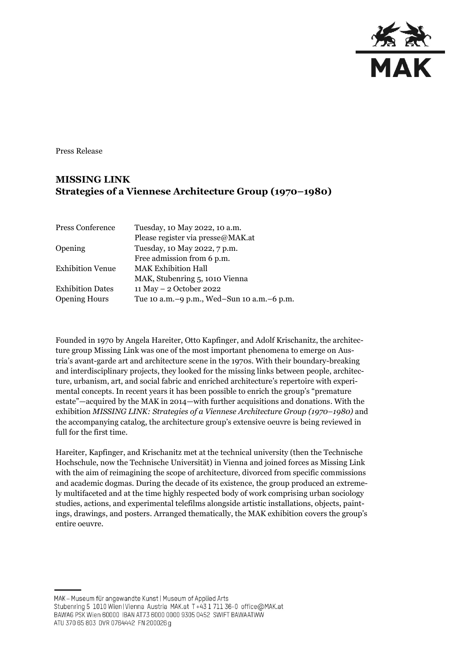

Press Release

## **MISSING LINK Strategies of a Viennese Architecture Group (1970–1980)**

| Press Conference        | Tuesday, 10 May 2022, 10 a.m.                |
|-------------------------|----------------------------------------------|
|                         | Please register via presse@MAK.at            |
| Opening                 | Tuesday, 10 May 2022, 7 p.m.                 |
|                         | Free admission from 6 p.m.                   |
| <b>Exhibition Venue</b> | <b>MAK Exhibition Hall</b>                   |
|                         | MAK, Stubenring 5, 1010 Vienna               |
| <b>Exhibition Dates</b> | 11 May - 2 October 2022                      |
| <b>Opening Hours</b>    | Tue 10 a.m. -9 p.m., Wed-Sun 10 a.m. -6 p.m. |

Founded in 1970 by Angela Hareiter, Otto Kapfinger, and Adolf Krischanitz, the architecture group Missing Link was one of the most important phenomena to emerge on Austria's avant-garde art and architecture scene in the 1970s. With their boundary-breaking and interdisciplinary projects, they looked for the missing links between people, architecture, urbanism, art, and social fabric and enriched architecture's repertoire with experimental concepts. In recent years it has been possible to enrich the group's "premature estate"—acquired by the MAK in 2014—with further acquisitions and donations. With the exhibition *MISSING LINK: Strategies of a Viennese Architecture Group (1970–1980)* and the accompanying catalog, the architecture group's extensive oeuvre is being reviewed in full for the first time.

Hareiter, Kapfinger, and Krischanitz met at the technical university (then the Technische Hochschule, now the Technische Universität) in Vienna and joined forces as Missing Link with the aim of reimagining the scope of architecture, divorced from specific commissions and academic dogmas. During the decade of its existence, the group produced an extremely multifaceted and at the time highly respected body of work comprising urban sociology studies, actions, and experimental telefilms alongside artistic installations, objects, paintings, drawings, and posters. Arranged thematically, the MAK exhibition covers the group's entire oeuvre.

MAK - Museum für angewandte Kunst | Museum of Applied Arts Stubenring 5 1010 Wien | Vienna Austria MAK.at T+43 1 711 36-0 office@MAK.at BAWAG PSK Wien 60000 IBAN AT73 6000 0000 9305 0452 SWIFT BAWAATWW ATU 370 65 803 DVR 0764442 FN 200026 g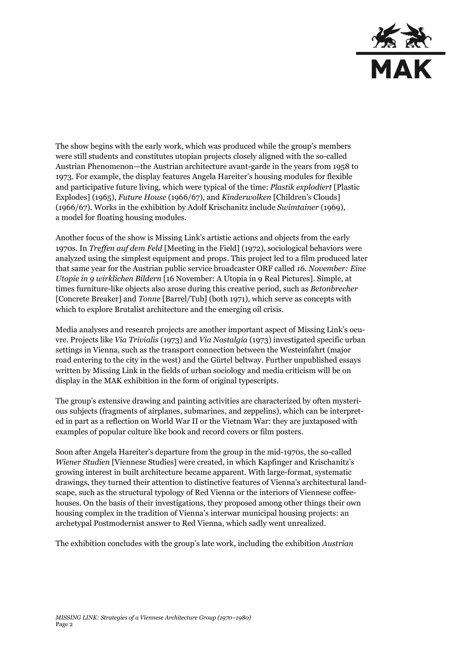

The show begins with the early work, which was produced while the group's members were still students and constitutes utopian projects closely aligned with the so-called Austrian Phenomenon—the Austrian architecture avant-garde in the years from 1958 to 1973. For example, the display features Angela Hareiter's housing modules for flexible and participative future living, which were typical of the time: *Plastik explodiert* [Plastic Explodes] (1965), *Future House* (1966/67), and *Kinderwolken* [Children's Clouds] (1966/67). Works in the exhibition by Adolf Krischanitz include *Swimtainer* (1969), a model for floating housing modules.

Another focus of the show is Missing Link's artistic actions and objects from the early 1970s. In *Treffen auf dem Feld* [Meeting in the Field] (1972), sociological behaviors were analyzed using the simplest equipment and props. This project led to a film produced later that same year for the Austrian public service broadcaster ORF called *16. November: Eine Utopie in 9 wirklichen Bildern* [16 November: A Utopia in 9 Real Pictures]. Simple, at times furniture-like objects also arose during this creative period, such as *Betonbrecher* [Concrete Breaker] and *Tonne* [Barrel/Tub] (both 1971), which serve as concepts with which to explore Brutalist architecture and the emerging oil crisis.

Media analyses and research projects are another important aspect of Missing Link's oeuvre. Projects like *Via Trivialis* (1973) and *Via Nostalgia* (1973) investigated specific urban settings in Vienna, such as the transport connection between the Westeinfahrt (major road entering to the city in the west) and the Gürtel beltway. Further unpublished essays written by Missing Link in the fields of urban sociology and media criticism will be on display in the MAK exhibition in the form of original typescripts.

The group's extensive drawing and painting activities are characterized by often mysterious subjects (fragments of airplanes, submarines, and zeppelins), which can be interpreted in part as a reflection on World War II or the Vietnam War: they are juxtaposed with examples of popular culture like book and record covers or film posters.

Soon after Angela Hareiter's departure from the group in the mid-1970s, the so-called *Wiener Studien* [Viennese Studies] were created, in which Kapfinger and Krischanitz's growing interest in built architecture became apparent. With large-format, systematic drawings, they turned their attention to distinctive features of Vienna's architectural landscape, such as the structural typology of Red Vienna or the interiors of Viennese coffeehouses. On the basis of their investigations, they proposed among other things their own housing complex in the tradition of Vienna's interwar municipal housing projects: an archetypal Postmodernist answer to Red Vienna, which sadly went unrealized.

The exhibition concludes with the group's late work, including the exhibition *Austrian*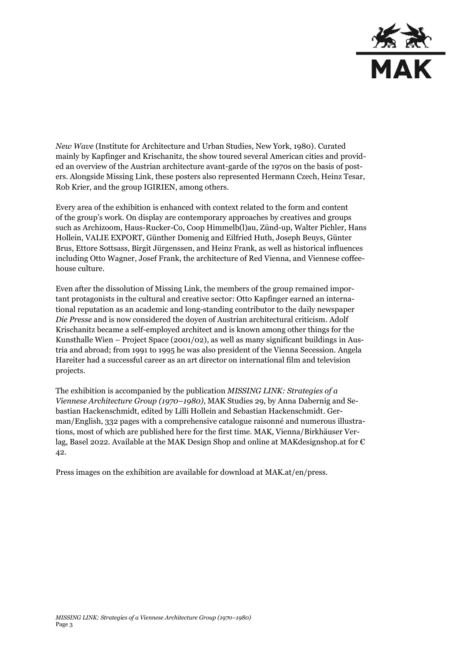

*New Wave* (Institute for Architecture and Urban Studies, New York, 1980). Curated mainly by Kapfinger and Krischanitz, the show toured several American cities and provided an overview of the Austrian architecture avant-garde of the 1970s on the basis of posters. Alongside Missing Link, these posters also represented Hermann Czech, Heinz Tesar, Rob Krier, and the group IGIRIEN, among others.

Every area of the exhibition is enhanced with context related to the form and content of the group's work. On display are contemporary approaches by creatives and groups such as Archizoom, Haus-Rucker-Co, Coop Himmelb(l)au, Zünd-up, Walter Pichler, Hans Hollein, VALIE EXPORT, Günther Domenig and Eilfried Huth, Joseph Beuys, Günter Brus, Ettore Sottsass, Birgit Jürgenssen, and Heinz Frank, as well as historical influences including Otto Wagner, Josef Frank, the architecture of Red Vienna, and Viennese coffeehouse culture.

Even after the dissolution of Missing Link, the members of the group remained important protagonists in the cultural and creative sector: Otto Kapfinger earned an international reputation as an academic and long-standing contributor to the daily newspaper *Die Presse* and is now considered the doyen of Austrian architectural criticism. Adolf Krischanitz became a self-employed architect and is known among other things for the Kunsthalle Wien – Project Space (2001/02), as well as many significant buildings in Austria and abroad; from 1991 to 1995 he was also president of the Vienna Secession. Angela Hareiter had a successful career as an art director on international film and television projects.

The exhibition is accompanied by the publication *MISSING LINK: Strategies of a Viennese Architecture Group (1970–1980)*, MAK Studies 29, by Anna Dabernig and Sebastian Hackenschmidt, edited by Lilli Hollein and Sebastian Hackenschmidt. German/English, 332 pages with a comprehensive catalogue raisonné and numerous illustrations, most of which are published here for the first time. MAK, Vienna/Birkhäuser Verlag, Basel 2022. Available at the MAK Design Shop and online at [MAKdesignshop.at](http://makdesignshop.at/) for € 42.

Press images on the exhibition are available for download at MAK.at/en/press.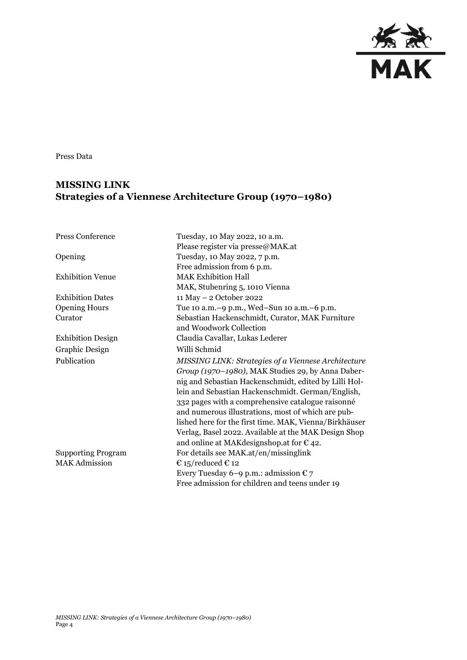

Press Data

## **MISSING LINK Strategies of a Viennese Architecture Group (1970–1980)**

| <b>Press Conference</b>   | Tuesday, 10 May 2022, 10 a.m.                          |
|---------------------------|--------------------------------------------------------|
|                           | Please register via presse@MAK.at                      |
| Opening                   | Tuesday, 10 May 2022, 7 p.m.                           |
|                           | Free admission from 6 p.m.                             |
| <b>Exhibition Venue</b>   | <b>MAK Exhibition Hall</b>                             |
|                           | MAK, Stubenring 5, 1010 Vienna                         |
| <b>Exhibition Dates</b>   | 11 May - 2 October 2022                                |
| <b>Opening Hours</b>      | Tue 10 a.m. -9 p.m., Wed-Sun 10 a.m. -6 p.m.           |
| Curator                   | Sebastian Hackenschmidt, Curator, MAK Furniture        |
|                           | and Woodwork Collection                                |
| <b>Exhibition Design</b>  | Claudia Cavallar, Lukas Lederer                        |
| Graphic Design            | Willi Schmid                                           |
| Publication               | MISSING LINK: Strategies of a Viennese Architecture    |
|                           | Group (1970-1980), MAK Studies 29, by Anna Daber-      |
|                           | nig and Sebastian Hackenschmidt, edited by Lilli Hol-  |
|                           | lein and Sebastian Hackenschmidt. German/English,      |
|                           | 332 pages with a comprehensive catalogue raisonné      |
|                           | and numerous illustrations, most of which are pub-     |
|                           | lished here for the first time. MAK, Vienna/Birkhäuser |
|                           | Verlag, Basel 2022. Available at the MAK Design Shop   |
|                           | and online at MAK designshop. at for $\epsilon$ 42.    |
| <b>Supporting Program</b> | For details see MAK.at/en/missinglink                  |
| <b>MAK Admission</b>      | € 15/reduced € 12                                      |
|                           | Every Tuesday 6–9 p.m.: admission $\epsilon$ 7         |
|                           | Free admission for children and teens under 19         |
|                           |                                                        |
|                           |                                                        |